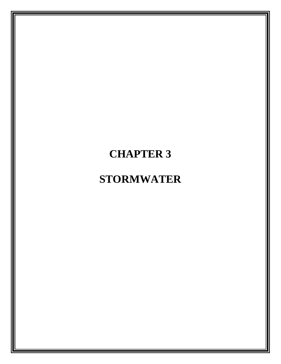# **CHAPTER 3**

# **STORMWATER**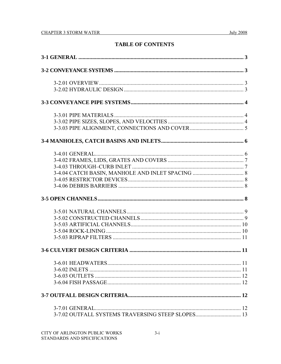# **TABLE OF CONTENTS**

| 3-7.02 OUTFALL SYSTEMS TRAVERSING STEEP SLOPES 13 |  |
|---------------------------------------------------|--|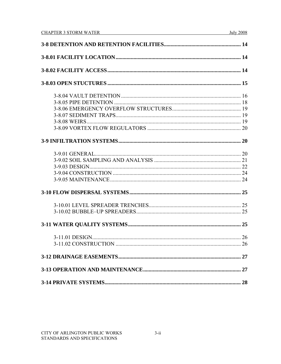|  | 28 |  |  |
|--|----|--|--|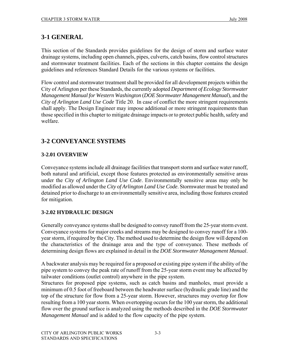# **3-1 GENERAL**

This section of the Standards provides guidelines for the design of storm and surface water drainage systems, including open channels, pipes, culverts, catch basins, flow control structures and stormwater treatment facilities. Each of the sections in this chapter contains the design guidelines and references Standard Details for the various systems or facilities.

Flow control and stormwater treatment shall be provided for all development projects within the City of Arlington per these Standards, the currently adopted *Department of Ecology Stormwater Management Manual for Western Washington* (*DOE Stormwater Management Manual*), and the *City of Arlington Land Use Code* Title 20. In case of conflict the more stringent requirements shall apply. The Design Engineer may impose additional or more stringent requirements than those specified in this chapter to mitigate drainage impacts or to protect public health, safety and welfare.

# **3-2 CONVEYANCE SYSTEMS**

# **3-2.01 OVERVIEW**

Conveyance systems include all drainage facilities that transport storm and surface water runoff, both natural and artificial, except those features protected as environmentally sensitive areas under the *City of Arlington Land Use Code*. Environmentally sensitive areas may only be modified as allowed under the *City of Arlington Land Use Code*. Stormwater must be treated and detained prior to discharge to an environmentally sensitive area, including those features created for mitigation.

# **3-2.02 HYDRAULIC DESIGN**

Generally conveyance systems shall be designed to convey runoff from the 25-year storm event. Conveyance systems for major creeks and streams may be designed to convey runoff for a 100 year storm, if required by the City. The method used to determine the design flow will depend on the characteristics of the drainage area and the type of conveyance. These methods of determining design flows are explained in detail in the *DOE Stormwater Management Manual*.

A backwater analysis may be required for a proposed or existing pipe system if the ability of the pipe system to convey the peak rate of runoff from the 25-year storm event may be affected by tailwater conditions (outlet control) anywhere in the pipe system.

Structures for proposed pipe systems, such as catch basins and manholes, must provide a minimum of 0.5 foot of freeboard between the headwater surface (hydraulic grade line) and the top of the structure for flow from a 25-year storm. However, structures may overtop for flow resulting from a 100 year storm. When overtopping occurs for the 100 year storm, the additional flow over the ground surface is analyzed using the methods described in the *DOE Stormwater Management Manual* and is added to the flow capacity of the pipe system.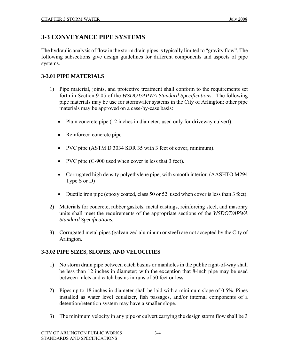# **3-3 CONVEYANCE PIPE SYSTEMS**

The hydraulic analysis of flow in the storm drain pipes is typically limited to "gravity flow". The following subsections give design guidelines for different components and aspects of pipe systems.

## **3-3.01 PIPE MATERIALS**

- 1) Pipe material, joints, and protective treatment shall conform to the requirements set forth in Section 9-05 of the *WSDOT/APWA Standard Specifications*. The following pipe materials may be use for stormwater systems in the City of Arlington; other pipe materials may be approved on a case-by-case basis:
	- Plain concrete pipe (12 inches in diameter, used only for driveway culvert).
	- Reinforced concrete pipe.
	- PVC pipe (ASTM D 3034 SDR 35 with 3 feet of cover, minimum).
	- PVC pipe (C-900 used when cover is less that 3 feet).
	- Corrugated high density polyethylene pipe, with smooth interior. (AASHTO M294 Type S or D)
	- Ductile iron pipe (epoxy coated, class 50 or 52, used when cover is less than 3 feet).
- 2) Materials for concrete, rubber gaskets, metal castings, reinforcing steel, and masonry units shall meet the requirements of the appropriate sections of the *WSDOT/APWA Standard Specifications*.
- 3) Corrugated metal pipes (galvanized aluminum or steel) are not accepted by the City of Arlington.

# **3-3.02 PIPE SIZES, SLOPES, AND VELOCITIES**

- 1) No storm drain pipe between catch basins or manholes in the public right-of-way shall be less than 12 inches in diameter; with the exception that 8-inch pipe may be used between inlets and catch basins in runs of 50 feet or less.
- 2) Pipes up to 18 inches in diameter shall be laid with a minimum slope of 0.5%. Pipes installed as water level equalizer, fish passages, and/or internal components of a detention/retention system may have a smaller slope.
- 3) The minimum velocity in any pipe or culvert carrying the design storm flow shall be 3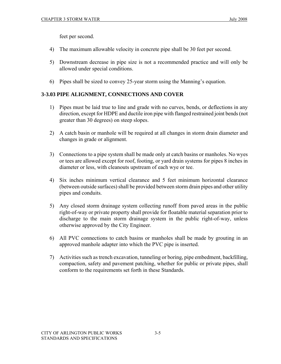feet per second.

- 4) The maximum allowable velocity in concrete pipe shall be 30 feet per second.
- 5) Downstream decrease in pipe size is not a recommended practice and will only be allowed under special conditions.
- 6) Pipes shall be sized to convey 25-year storm using the Manning's equation.

# **3-3.03 PIPE ALIGNMENT, CONNECTIONS AND COVER**

- 1) Pipes must be laid true to line and grade with no curves, bends, or deflections in any direction, except for HDPE and ductile iron pipe with flanged restrained joint bends (not greater than 30 degrees) on steep slopes.
- 2) A catch basin or manhole will be required at all changes in storm drain diameter and changes in grade or alignment.
- 3) Connections to a pipe system shall be made only at catch basins or manholes. No wyes or tees are allowed except for roof, footing, or yard drain systems for pipes 8 inches in diameter or less, with cleanouts upstream of each wye or tee.
- 4) Six inches minimum vertical clearance and 5 feet minimum horizontal clearance (between outside surfaces) shall be provided between storm drain pipes and other utility pipes and conduits.
- 5) Any closed storm drainage system collecting runoff from paved areas in the public right-of-way or private property shall provide for floatable material separation prior to discharge to the main storm drainage system in the public right-of-way, unless otherwise approved by the City Engineer.
- 6) All PVC connections to catch basins or manholes shall be made by grouting in an approved manhole adapter into which the PVC pipe is inserted.
- 7) Activities such as trench excavation, tunneling or boring, pipe embedment, backfilling, compaction, safety and pavement patching, whether for public or private pipes, shall conform to the requirements set forth in these Standards.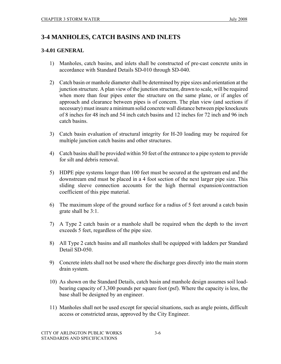# **3-4 MANHOLES, CATCH BASINS AND INLETS**

# **3-4.01 GENERAL**

- 1) Manholes, catch basins, and inlets shall be constructed of pre-cast concrete units in accordance with Standard Details SD-010 through SD-040.
- 2) Catch basin or manhole diameter shall be determined by pipe sizes and orientation at the junction structure. A plan view of the junction structure, drawn to scale, will be required when more than four pipes enter the structure on the same plane, or if angles of approach and clearance between pipes is of concern. The plan view (and sections if necessary) must insure a minimum solid concrete wall distance between pipe knockouts of 8 inches for 48 inch and 54 inch catch basins and 12 inches for 72 inch and 96 inch catch basins.
- 3) Catch basin evaluation of structural integrity for H-20 loading may be required for multiple junction catch basins and other structures.
- 4) Catch basins shall be provided within 50 feet of the entrance to a pipe system to provide for silt and debris removal.
- 5) HDPE pipe systems longer than 100 feet must be secured at the upstream end and the downstream end must be placed in a 4 foot section of the next larger pipe size. This sliding sleeve connection accounts for the high thermal expansion/contraction coefficient of this pipe material.
- 6) The maximum slope of the ground surface for a radius of 5 feet around a catch basin grate shall be 3:1.
- 7) A Type 2 catch basin or a manhole shall be required when the depth to the invert exceeds 5 feet, regardless of the pipe size.
- 8) All Type 2 catch basins and all manholes shall be equipped with ladders per Standard Detail SD-050.
- 9) Concrete inlets shall not be used where the discharge goes directly into the main storm drain system.
- 10) As shown on the Standard Details, catch basin and manhole design assumes soil loadbearing capacity of 3,300 pounds per square foot (psf). Where the capacity is less, the base shall be designed by an engineer.
- 11) Manholes shall not be used except for special situations, such as angle points, difficult access or constricted areas, approved by the City Engineer.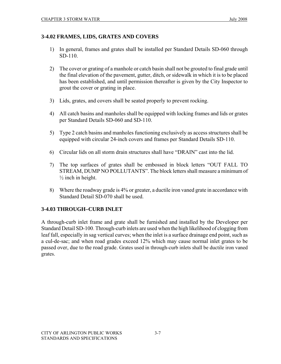## **3-4.02 FRAMES, LIDS, GRATES AND COVERS**

- 1) In general, frames and grates shall be installed per Standard Details SD-060 through SD-110.
- 2) The cover or grating of a manhole or catch basin shall not be grouted to final grade until the final elevation of the pavement, gutter, ditch, or sidewalk in which it is to be placed has been established, and until permission thereafter is given by the City Inspector to grout the cover or grating in place.
- 3) Lids, grates, and covers shall be seated properly to prevent rocking.
- 4) All catch basins and manholes shall be equipped with locking frames and lids or grates per Standard Details SD-060 and SD-110.
- 5) Type 2 catch basins and manholes functioning exclusively as access structures shall be equipped with circular 24-inch covers and frames per Standard Details SD-110.
- 6) Circular lids on all storm drain structures shall have "DRAIN" cast into the lid.
- 7) The top surfaces of grates shall be embossed in block letters "OUT FALL TO STREAM, DUMP NO POLLUTANTS". The block letters shall measure a minimum of  $\frac{1}{2}$  inch in height.
- 8) Where the roadway grade is 4% or greater, a ductile iron vaned grate in accordance with Standard Detail SD-070 shall be used.

# **3-4.03 THROUGH–CURB INLET**

A through-curb inlet frame and grate shall be furnished and installed by the Developer per Standard Detail SD-100. Through-curb inlets are used when the high likelihood of clogging from leaf fall, especially in sag vertical curves; when the inlet is a surface drainage end point, such as a cul-de-sac; and when road grades exceed 12% which may cause normal inlet grates to be passed over, due to the road grade. Grates used in through-curb inlets shall be ductile iron vaned grates.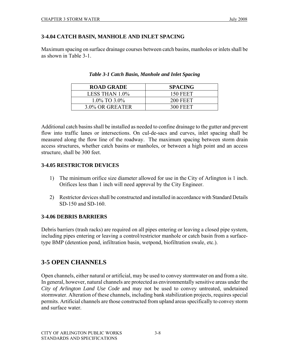## **3-4.04 CATCH BASIN, MANHOLE AND INLET SPACING**

Maximum spacing on surface drainage courses between catch basins, manholes or inlets shall be as shown in Table 3-1.

| <b>ROAD GRADE</b>  | <b>SPACING</b>  |
|--------------------|-----------------|
| LESS THAN 1.0%     | <b>150 FEET</b> |
| $1.0\%$ TO $3.0\%$ | <b>200 FEET</b> |
| 3.0% OR GREATER    | <b>300 FEET</b> |

|  | Table 3-1 Catch Basin, Manhole and Inlet Spacing |  |  |  |
|--|--------------------------------------------------|--|--|--|
|--|--------------------------------------------------|--|--|--|

Additional catch basins shall be installed as needed to confine drainage to the gutter and prevent flow into traffic lanes or intersections. On cul-de-sacs and curves, inlet spacing shall be measured along the flow line of the roadway. The maximum spacing between storm drain access structures, whether catch basins or manholes, or between a high point and an access structure, shall be 300 feet.

# **3-4.05 RESTRICTOR DEVICES**

- 1) The minimum orifice size diameter allowed for use in the City of Arlington is 1 inch. Orifices less than 1 inch will need approval by the City Engineer.
- 2) Restrictor devices shall be constructed and installed in accordance with Standard Details SD-150 and SD-160.

# **3-4.06 DEBRIS BARRIERS**

Debris barriers (trash racks) are required on all pipes entering or leaving a closed pipe system, including pipes entering or leaving a control/restrictor manhole or catch basin from a surfacetype BMP (detention pond, infiltration basin, wetpond, biofiltration swale, etc.).

# **3-5 OPEN CHANNELS**

Open channels, either natural or artificial, may be used to convey stormwater on and from a site. In general, however, natural channels are protected as environmentally sensitive areas under the *City of Arlington Land Use Code* and may not be used to convey untreated, undetained stormwater. Alteration of these channels, including bank stabilization projects, requires special permits. Artificial channels are those constructed from upland areas specifically to convey storm and surface water.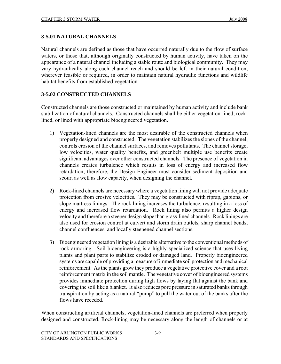#### **3-5.01 NATURAL CHANNELS**

Natural channels are defined as those that have occurred naturally due to the flow of surface waters, or those that, although originally constructed by human activity, have taken on the appearance of a natural channel including a stable route and biological community. They may vary hydraulically along each channel reach and should be left in their natural condition, wherever feasible or required, in order to maintain natural hydraulic functions and wildlife habitat benefits from established vegetation.

#### **3-5.02 CONSTRUCTED CHANNELS**

Constructed channels are those constructed or maintained by human activity and include bank stabilization of natural channels. Constructed channels shall be either vegetation-lined, rocklined, or lined with appropriate bioengineered vegetation.

- 1) Vegetation-lined channels are the most desirable of the constructed channels when properly designed and constructed. The vegetation stabilizes the slopes of the channel, controls erosion of the channel surfaces, and removes pollutants. The channel storage, low velocities, water quality benefits, and greenbelt multiple use benefits create significant advantages over other constructed channels. The presence of vegetation in channels creates turbulence which results in loss of energy and increased flow retardation; therefore, the Design Engineer must consider sediment deposition and scour, as well as flow capacity, when designing the channel.
- 2) Rock-lined channels are necessary where a vegetation lining will not provide adequate protection from erosive velocities. They may be constructed with riprap, gabions, or slope mattress linings. The rock lining increases the turbulence, resulting in a loss of energy and increased flow retardation. Rock lining also permits a higher design velocity and therefore a steeper design slope than grass-lined channels. Rock linings are also used for erosion control at culvert and storm drain outlets, sharp channel bends, channel confluences, and locally steepened channel sections.
- 3) Bioengineered vegetation lining is a desirable alternative to the conventional methods of rock armoring. Soil bioengineering is a highly specialized science that uses living plants and plant parts to stabilize eroded or damaged land. Properly bioengineered systems are capable of providing a measure of immediate soil protection and mechanical reinforcement. As the plants grow they produce a vegetative protective cover and a root reinforcement matrix in the soil mantle. The vegetative cover of bioengineered systems provides immediate protection during high flows by laying flat against the bank and covering the soil like a blanket. It also reduces pore pressure in saturated banks through transpiration by acting as a natural "pump" to pull the water out of the banks after the flows have receded.

When constructing artificial channels, vegetation-lined channels are preferred when properly designed and constructed. Rock-lining may be necessary along the length of channels or at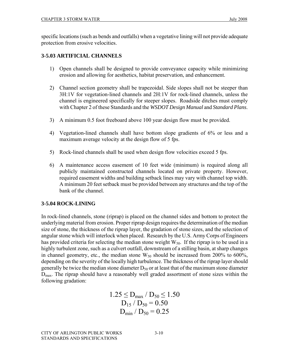specific locations (such as bends and outfalls) when a vegetative lining will not provide adequate protection from erosive velocities.

# **3-5.03 ARTIFICIAL CHANNELS**

- 1) Open channels shall be designed to provide conveyance capacity while minimizing erosion and allowing for aesthetics, habitat preservation, and enhancement.
- 2) Channel section geometry shall be trapezoidal. Side slopes shall not be steeper than 3H:1V for vegetation-lined channels and 2H:1V for rock-lined channels, unless the channel is engineered specifically for steeper slopes. Roadside ditches must comply with Chapter 2 of these Standards and the *WSDOT Design Manual* and *Standard Plans*.
- 3) A minimum 0.5 foot freeboard above 100 year design flow must be provided.
- 4) Vegetation-lined channels shall have bottom slope gradients of 6% or less and a maximum average velocity at the design flow of 5 fps.
- 5) Rock-lined channels shall be used when design flow velocities exceed 5 fps.
- 6) A maintenance access easement of 10 feet wide (minimum) is required along all publicly maintained constructed channels located on private property. However, required easement widths and building setback lines may vary with channel top width. A minimum 20 feet setback must be provided between any structures and the top of the bank of the channel.

# **3-5.04 ROCK-LINING**

In rock-lined channels, stone (riprap) is placed on the channel sides and bottom to protect the underlying material from erosion. Proper riprap design requires the determination of the median size of stone, the thickness of the riprap layer, the gradation of stone sizes, and the selection of angular stone which will interlock when placed. Research by the U.S. Army Corps of Engineers has provided criteria for selecting the median stone weight  $W_{50}$ . If the riprap is to be used in a highly turbulent zone, such as a culvert outfall, downstream of a stilling basin, at sharp changes in channel geometry, etc., the median stone  $W_{50}$  should be increased from 200% to 600%, depending on the severity of the locally high turbulence. The thickness of the riprap layer should generally be twice the median stone diameter  $D_{50}$  or at least that of the maximum stone diameter D<sub>max</sub>. The riprap should have a reasonably well graded assortment of stone sizes within the following gradation:

$$
1.25 \le D_{max} / D_{50} \le 1.50
$$
  
 
$$
D_{15} / D_{50} = 0.50
$$
  
 
$$
D_{min} / D_{50} = 0.25
$$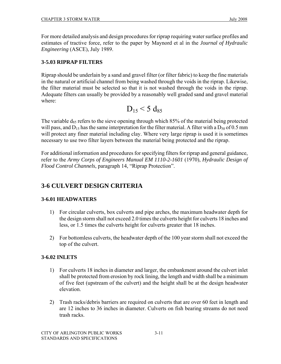For more detailed analysis and design procedures for riprap requiring water surface profiles and estimates of tractive force, refer to the paper by Maynord et al in the *Journal of Hydraulic Engineering* (ASCE), July 1989.

# **3-5.03 RIPRAP FILTERS**

Riprap should be underlain by a sand and gravel filter (or filter fabric) to keep the fine materials in the natural or artificial channel from being washed through the voids in the riprap. Likewise, the filter material must be selected so that it is not washed through the voids in the riprap. Adequate filters can usually be provided by a reasonably well graded sand and gravel material where:

$$
D_{15} \le 5 d_{85}
$$

The variable  $d_{85}$  refers to the sieve opening through which 85% of the material being protected will pass, and  $D_{15}$  has the same interpretation for the filter material. A filter with a  $D_{50}$  of 0.5 mm will protect any finer material including clay. Where very large riprap is used it is sometimes necessary to use two filter layers between the material being protected and the riprap.

For additional information and procedures for specifying filters for riprap and general guidance, refer to the *Army Corps of Engineers Manual EM 1110-2-1601* (1970), *Hydraulic Design of Flood Control Channels*, paragraph 14, "Riprap Protection".

# **3-6 CULVERT DESIGN CRITERIA**

# **3-6.01 HEADWATERS**

- 1) For circular culverts, box culverts and pipe arches, the maximum headwater depth for the design storm shall not exceed 2.0 times the culverts height for culverts 18 inches and less, or 1.5 times the culverts height for culverts greater that 18 inches.
- 2) For bottomless culverts, the headwater depth of the 100 year storm shall not exceed the top of the culvert.

# **3-6.02 INLETS**

- 1) For culverts 18 inches in diameter and larger, the embankment around the culvert inlet shall be protected from erosion by rock lining, the length and width shall be a minimum of five feet (upstream of the culvert) and the height shall be at the design headwater elevation.
- 2) Trash racks/debris barriers are required on culverts that are over 60 feet in length and are 12 inches to 36 inches in diameter. Culverts on fish bearing streams do not need trash racks.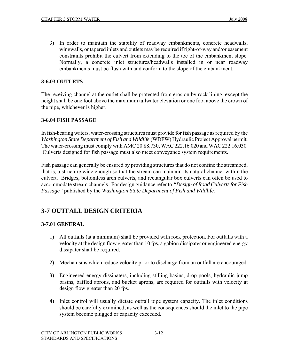3) In order to maintain the stability of roadway embankments, concrete headwalls, wingwalls, or tapered inlets and outlets may be required if right-of-way and/or easement constraints prohibit the culvert from extending to the toe of the embankment slope. Normally, a concrete inlet structures/headwalls installed in or near roadway embankments must be flush with and conform to the slope of the embankment.

#### **3-6.03 OUTLETS**

The receiving channel at the outlet shall be protected from erosion by rock lining, except the height shall be one foot above the maximum tailwater elevation or one foot above the crown of the pipe, whichever is higher.

#### **3-6.04 FISH PASSAGE**

In fish-bearing waters, water-crossing structures must provide for fish passage as required by the *Washington State Department of Fish and Wildlife* (WDFW) Hydraulic Project Approval permit. The water-crossing must comply with AMC 20.88.730, WAC 222.16.020 and WAC 222.16.030. Culverts designed for fish passage must also meet conveyance system requirements.

Fish passage can generally be ensured by providing structures that do not confine the streambed, that is, a structure wide enough so that the stream can maintain its natural channel within the culvert. Bridges, bottomless arch culverts, and rectangular box culverts can often be used to accommodate stream channels. For design guidance refer to *"Design of Road Culverts for Fish Passage"* published by the *Washington State Department of Fish and Wildlife.*

# **3-7 OUTFALL DESIGN CRITERIA**

# **3-7.01 GENERAL**

- 1) All outfalls (at a minimum) shall be provided with rock protection. For outfalls with a velocity at the design flow greater than 10 fps, a gabion dissipater or engineered energy dissipater shall be required.
- 2) Mechanisms which reduce velocity prior to discharge from an outfall are encouraged.
- 3) Engineered energy dissipaters, including stilling basins, drop pools, hydraulic jump basins, baffled aprons, and bucket aprons, are required for outfalls with velocity at design flow greater than 20 fps.
- 4) Inlet control will usually dictate outfall pipe system capacity. The inlet conditions should be carefully examined, as well as the consequences should the inlet to the pipe system become plugged or capacity exceeded.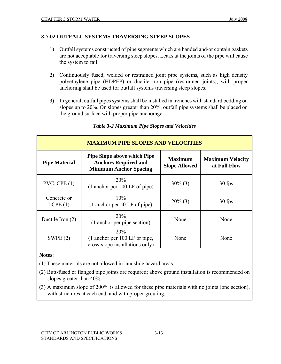## **3-7.02 OUTFALL SYSTEMS TRAVERSING STEEP SLOPES**

- 1) Outfall systems constructed of pipe segments which are banded and/or contain gaskets are not acceptable for traversing steep slopes. Leaks at the joints of the pipe will cause the system to fail.
- 2) Continuously fused, welded or restrained joint pipe systems, such as high density polyethylene pipe (HDPEP) or ductile iron pipe (restrained joints), with proper anchoring shall be used for outfall systems traversing steep slopes.
- 3) In general, outfall pipes systems shall be installed in trenches with standard bedding on slopes up to 20%. On slopes greater than 20%, outfall pipe systems shall be placed on the ground surface with proper pipe anchorage.

| <b>MAXIMUM PIPE SLOPES AND VELOCITIES</b> |                                                                                                    |                                        |                                         |  |  |
|-------------------------------------------|----------------------------------------------------------------------------------------------------|----------------------------------------|-----------------------------------------|--|--|
| <b>Pipe Material</b>                      | <b>Pipe Slope above which Pipe</b><br><b>Anchors Required and</b><br><b>Minimum Anchor Spacing</b> | <b>Maximum</b><br><b>Slope Allowed</b> | <b>Maximum Velocity</b><br>at Full Flow |  |  |
| $PVC$ , $CPE(1)$                          | 20%<br>$(1$ anchor per 100 LF of pipe)                                                             | $30\%$ (3)                             | 30 fps                                  |  |  |
| Concrete or<br>LCPE(1)                    | 10%<br>(1 anchor per 50 LF of pipe)                                                                | $20\%$ (3)                             | 30 fps                                  |  |  |
| Ductile Iron $(2)$                        | 20%<br>(1 anchor per pipe section)                                                                 | None                                   | None                                    |  |  |
| SWPE $(2)$                                | 20%<br>(1 anchor per 100 LF or pipe,<br>cross-slope installations only)                            | None                                   | None                                    |  |  |

#### *Table 3-2 Maximum Pipe Slopes and Velocities*

# **Notes**:

(1) These materials are not allowed in landslide hazard areas.

- (2) Butt-fused or flanged pipe joints are required; above ground installation is recommended on slopes greater than 40%.
- (3) A maximum slope of 200% is allowed for these pipe materials with no joints (one section), with structures at each end, and with proper grouting.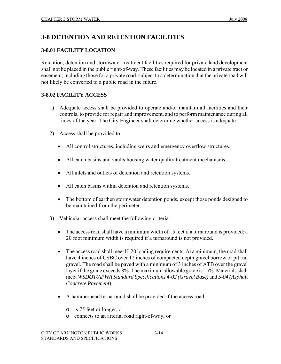# **3-8 DETENTION AND RETENTION FACILITIES**

# **3-8.01 FACILITY LOCATION**

Retention, detention and stormwater treatment facilities required for private land development shall not be placed in the public right-of-way. These facilities may be located in a private tract or easement, including those for a private road, subject to a determination that the private road will not likely be converted to a public road in the future.

# **3-8.02 FACILITY ACCESS**

- 1) Adequate access shall be provided to operate and/or maintain all facilities and their controls, to provide for repair and improvement, and to perform maintenance during all times of the year. The City Engineer shall determine whether access is adequate.
- 2) Access shall be provided to:
	- All control structures, including weirs and emergency overflow structures.
	- All catch basins and vaults housing water quality treatment mechanisms.
	- All inlets and outlets of detention and retention systems.
	- All catch basins within detention and retention systems.
	- The bottom of earthen stormwater detention ponds, except those ponds designed to be maintained from the perimeter.
- 3) Vehicular access shall meet the following criteria:
	- The access road shall have a minimum width of 15 feet if a turnaround is provided; a 20 foot minimum width is required if a turnaround is not provided.
	- The access road shall meet H-20 loading requirements. At a minimum, the road shall have 4 inches of CSBC over 12 inches of compacted depth gravel borrow or pit run gravel. The road shall be paved with a minimum of 3 inches of ATB over the gravel layer if the grade exceeds 8%. The maximum allowable grade is 15%. Materials shall meet *WSDOT/APWA Standard Specifications 4-02 (Gravel Base)* and *5-04 (Asphalt Concrete Pavement*).
	- A hammerhead turnaround shall be provided if the access road:
		- o is 75 feet or longer, or
		- o connects to an arterial road right-of-way, or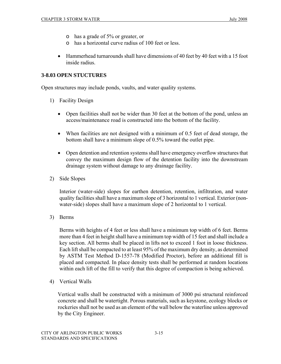- o has a grade of 5% or greater, or
- o has a horizontal curve radius of 100 feet or less.
- Hammerhead turnarounds shall have dimensions of 40 feet by 40 feet with a 15 foot inside radius.

#### **3-8.03 OPEN STUCTURES**

Open structures may include ponds, vaults, and water quality systems.

- 1) Facility Design
	- Open facilities shall not be wider than 30 feet at the bottom of the pond, unless an access/maintenance road is constructed into the bottom of the facility.
	- When facilities are not designed with a minimum of 0.5 feet of dead storage, the bottom shall have a minimum slope of 0.5% toward the outlet pipe.
	- Open detention and retention systems shall have emergency overflow structures that convey the maximum design flow of the detention facility into the downstream drainage system without damage to any drainage facility.
- 2) Side Slopes

Interior (water-side) slopes for earthen detention, retention, infiltration, and water quality facilities shall have a maximum slope of 3 horizontal to 1 vertical. Exterior (nonwater-side) slopes shall have a maximum slope of 2 horizontal to 1 vertical.

3) Berms

Berms with heights of 4 feet or less shall have a minimum top width of 6 feet. Berms more than 4 feet in height shall have a minimum top width of 15 feet and shall include a key section. All berms shall be placed in lifts not to exceed 1 foot in loose thickness. Each lift shall be compacted to at least 95% of the maximum dry density, as determined by ASTM Test Method D-1557-78 (Modified Proctor), before an additional fill is placed and compacted. In place density tests shall be performed at random locations within each lift of the fill to verify that this degree of compaction is being achieved.

4) Vertical Walls

Vertical walls shall be constructed with a minimum of 3000 psi structural reinforced concrete and shall be watertight. Porous materials, such as keystone, ecology blocks or rockeries shall not be used as an element of the wall below the waterline unless approved by the City Engineer.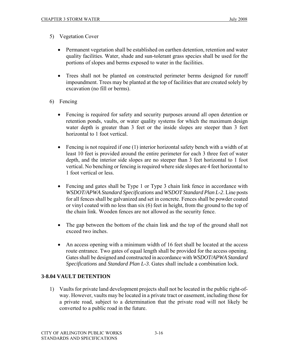- 5) Vegetation Cover
	- Permanent vegetation shall be established on earthen detention, retention and water quality facilities. Water, shade and sun-tolerant grass species shall be used for the portions of slopes and berms exposed to water in the facilities.
	- Trees shall not be planted on constructed perimeter berms designed for runoff impoundment. Trees may be planted at the top of facilities that are created solely by excavation (no fill or berms).
- 6) Fencing
	- Fencing is required for safety and security purposes around all open detention or retention ponds, vaults, or water quality systems for which the maximum design water depth is greater than 3 feet or the inside slopes are steeper than 3 feet horizontal to 1 foot vertical.
	- Fencing is not required if one (1) interior horizontal safety bench with a width of at least 10 feet is provided around the entire perimeter for each 3 three feet of water depth, and the interior side slopes are no steeper than 3 feet horizontal to 1 foot vertical. No benching or fencing is required where side slopes are 4 feet horizontal to 1 foot vertical or less.
	- Fencing and gates shall be Type 1 or Type 3 chain link fence in accordance with *WSDOT/APWA Standard Specifications* and *WSDOT Standard Plan L-2*. Line posts for all fences shall be galvanized and set in concrete. Fences shall be powder coated or vinyl coated with no less than six (6) feet in height, from the ground to the top of the chain link. Wooden fences are not allowed as the security fence.
	- The gap between the bottom of the chain link and the top of the ground shall not exceed two inches.
	- An access opening with a minimum width of 16 feet shall be located at the access route entrance. Two gates of equal length shall be provided for the access opening. Gates shall be designed and constructed in accordance with *WSDOT/APWA Standard Specifications* and *Standard Plan L-3*. Gates shall include a combination lock.

# **3-8.04 VAULT DETENTION**

1) Vaults for private land development projects shall not be located in the public right-ofway. However, vaults may be located in a private tract or easement, including those for a private road, subject to a determination that the private road will not likely be converted to a public road in the future.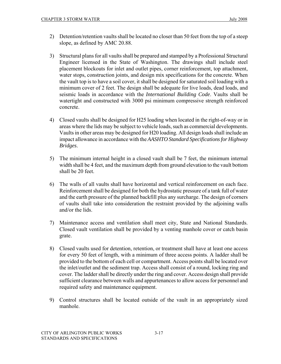- 2) Detention/retention vaults shall be located no closer than 50 feet from the top of a steep slope, as defined by AMC 20.88.
- 3) Structural plans for all vaults shall be prepared and stamped by a Professional Structural Engineer licensed in the State of Washington. The drawings shall include steel placement blockouts for inlet and outlet pipes, corner reinforcement, top attachment, water stops, construction joints, and design mix specifications for the concrete. When the vault top is to have a soil cover, it shall be designed for saturated soil loading with a minimum cover of 2 feet. The design shall be adequate for live loads, dead loads, and seismic loads in accordance with the *International Building Code*. Vaults shall be watertight and constructed with 3000 psi minimum compressive strength reinforced concrete.
- 4) Closed vaults shall be designed for H25 loading when located in the right-of-way or in areas where the lids may be subject to vehicle loads, such as commercial developments. Vaults in other areas may be designed for H20 loading. All design loads shall include an impact allowance in accordance with the *AASHTO Standard Specifications for Highway Bridges*.
- 5) The minimum internal height in a closed vault shall be 7 feet, the minimum internal width shall be 4 feet, and the maximum depth from ground elevation to the vault bottom shall be 20 feet.
- 6) The walls of all vaults shall have horizontal and vertical reinforcement on each face. Reinforcement shall be designed for both the hydrostatic pressure of a tank full of water and the earth pressure of the planned backfill plus any surcharge. The design of corners of vaults shall take into consideration the restraint provided by the adjoining walls and/or the lids.
- 7) Maintenance access and ventilation shall meet city, State and National Standards. Closed vault ventilation shall be provided by a venting manhole cover or catch basin grate.
- 8) Closed vaults used for detention, retention, or treatment shall have at least one access for every 50 feet of length, with a minimum of three access points. A ladder shall be provided to the bottom of each cell or compartment. Access points shall be located over the inlet/outlet and the sediment trap. Access shall consist of a round, locking ring and cover. The ladder shall be directly under the ring and cover. Access design shall provide sufficient clearance between walls and appurtenances to allow access for personnel and required safety and maintenance equipment.
- 9) Control structures shall be located outside of the vault in an appropriately sized manhole.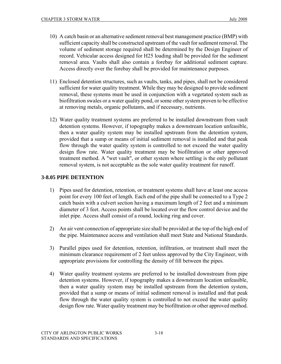- 10) A catch basin or an alternative sediment removal best management practice (BMP) with sufficient capacity shall be constructed upstream of the vault for sediment removal. The volume of sediment storage required shall be determined by the Design Engineer of record. Vehicular access designed for H25 loading shall be provided for the sediment removal area. Vaults shall also contain a forebay for additional sediment capture. Access directly over the forebay shall be provided for maintenance purposes.
- 11) Enclosed detention structures, such as vaults, tanks, and pipes, shall not be considered sufficient for water quality treatment. While they may be designed to provide sediment removal, these systems must be used in conjunction with a vegetated system such as biofiltration swales or a water quality pond, or some other system proven to be effective at removing metals, organic pollutants, and if necessary, nutrients.
- 12) Water quality treatment systems are preferred to be installed downstream from vault detention systems. However, if topography makes a downstream location unfeasible, then a water quality system may be installed upstream from the detention system, provided that a sump or means of initial sediment removal is installed and that peak flow through the water quality system is controlled to not exceed the water quality design flow rate. Water quality treatment may be biofiltration or other approved treatment method. A "wet vault", or other system where settling is the only pollutant removal system, is not acceptable as the sole water quality treatment for runoff.

# **3-8.05 PIPE DETENTION**

- 1) Pipes used for detention, retention, or treatment systems shall have at least one access point for every 100 feet of length. Each end of the pipe shall be connected to a Type 2 catch basin with a culvert section having a maximum length of 2 feet and a minimum diameter of 3 feet. Access points shall be located over the flow control device and the inlet pipe. Access shall consist of a round, locking ring and cover.
- 2) An air vent connection of appropriate size shall be provided at the top of the high end of the pipe. Maintenance access and ventilation shall meet State and National Standards.
- 3) Parallel pipes used for detention, retention, infiltration, or treatment shall meet the minimum clearance requirement of 2 feet unless approved by the City Engineer, with appropriate provisions for controlling the density of fill between the pipes.
- 4) Water quality treatment systems are preferred to be installed downstream from pipe detention systems. However, if topography makes a downstream location unfeasible, then a water quality system may be installed upstream from the detention system, provided that a sump or means of initial sediment removal is installed and that peak flow through the water quality system is controlled to not exceed the water quality design flow rate. Water quality treatment may be biofiltration or other approved method.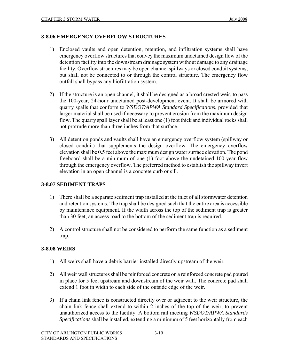#### **3-8.06 EMERGENCY OVERFLOW STRUCTURES**

- 1) Enclosed vaults and open detention, retention, and infiltration systems shall have emergency overflow structures that convey the maximum undetained design flow of the detention facility into the downstream drainage system without damage to any drainage facility. Overflow structures may be open channel spillways or closed conduit systems, but shall not be connected to or through the control structure. The emergency flow outfall shall bypass any biofiltration system.
- 2) If the structure is an open channel, it shall be designed as a broad crested weir, to pass the 100-year, 24-hour undetained post-development event. It shall be armored with quarry spalls that conform to *WSDOT/APWA Standard Specifications*, provided that larger material shall be used if necessary to prevent erosion from the maximum design flow. The quarry spall layer shall be at least one (1) foot thick and individual rocks shall not protrude more than three inches from that surface.
- 3) All detention ponds and vaults shall have an emergency overflow system (spillway or closed conduit) that supplements the design overflow. The emergency overflow elevation shall be 0.5 feet above the maximum design water surface elevation. The pond freeboard shall be a minimum of one (1) foot above the undetained 100-year flow through the emergency overflow. The preferred method to establish the spillway invert elevation in an open channel is a concrete curb or sill.

## **3-8.07 SEDIMENT TRAPS**

- 1) There shall be a separate sediment trap installed at the inlet of all stormwater detention and retention systems. The trap shall be designed such that the entire area is accessible by maintenance equipment. If the width across the top of the sediment trap is greater than 30 feet, an access road to the bottom of the sediment trap is required.
- 2) A control structure shall not be considered to perform the same function as a sediment trap.

# **3-8.08 WEIRS**

- 1) All weirs shall have a debris barrier installed directly upstream of the weir.
- 2) All weir wall structures shall be reinforced concrete on a reinforced concrete pad poured in place for 5 feet upstream and downstream of the weir wall. The concrete pad shall extend 1 foot in width to each side of the outside edge of the weir.
- 3) If a chain link fence is constructed directly over or adjacent to the weir structure, the chain link fence shall extend to within 2 inches of the top of the weir, to prevent unauthorized access to the facility. A bottom rail meeting *WSDOT/APWA Standards Specifications* shall be installed, extending a minimum of 5 feet horizontally from each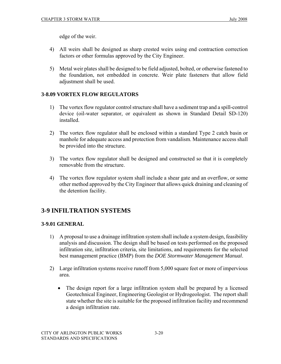edge of the weir.

- 4) All weirs shall be designed as sharp crested weirs using end contraction correction factors or other formulas approved by the City Engineer.
- 5) Metal weir plates shall be designed to be field adjusted, bolted, or otherwise fastened to the foundation, not embedded in concrete. Weir plate fasteners that allow field adjustment shall be used.

#### **3-8.09 VORTEX FLOW REGULATORS**

- 1) The vortex flow regulator control structure shall have a sediment trap and a spill-control device (oil-water separator, or equivalent as shown in Standard Detail SD-120) installed.
- 2) The vortex flow regulator shall be enclosed within a standard Type 2 catch basin or manhole for adequate access and protection from vandalism. Maintenance access shall be provided into the structure.
- 3) The vortex flow regulator shall be designed and constructed so that it is completely removable from the structure.
- 4) The vortex flow regulator system shall include a shear gate and an overflow, or some other method approved by the City Engineer that allows quick draining and cleaning of the detention facility.

# **3-9 INFILTRATION SYSTEMS**

#### **3-9.01 GENERAL**

- 1) A proposal to use a drainage infiltration system shall include a system design, feasibility analysis and discussion. The design shall be based on tests performed on the proposed infiltration site, infiltration criteria, site limitations, and requirements for the selected best management practice (BMP) from the *DOE Stormwater Management Manual*.
- 2) Large infiltration systems receive runoff from 5,000 square feet or more of impervious area.
	- The design report for a large infiltration system shall be prepared by a licensed Geotechnical Engineer, Engineering Geologist or Hydrogeologist. The report shall state whether the site is suitable for the proposed infiltration facility and recommend a design infiltration rate.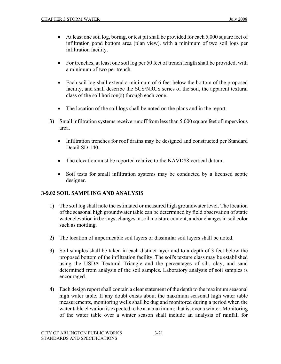- At least one soil log, boring, or test pit shall be provided for each 5,000 square feet of infiltration pond bottom area (plan view), with a minimum of two soil logs per infiltration facility.
- For trenches, at least one soil log per 50 feet of trench length shall be provided, with a minimum of two per trench.
- Each soil log shall extend a minimum of 6 feet below the bottom of the proposed facility, and shall describe the SCS/NRCS series of the soil, the apparent textural class of the soil horizon(s) through each zone.
- The location of the soil logs shall be noted on the plans and in the report.
- 3) Small infiltration systems receive runoff from less than 5,000 square feet of impervious area.
	- Infiltration trenches for roof drains may be designed and constructed per Standard Detail SD-140.
	- The elevation must be reported relative to the NAVD88 vertical datum.
	- Soil tests for small infiltration systems may be conducted by a licensed septic designer.

# **3-9.02 SOIL SAMPLING AND ANALYSIS**

- 1) The soil log shall note the estimated or measured high groundwater level. The location of the seasonal high groundwater table can be determined by field observation of static water elevation in borings, changes in soil moisture content, and/or changes in soil color such as mottling.
- 2) The location of impermeable soil layers or dissimilar soil layers shall be noted.
- 3) Soil samples shall be taken in each distinct layer and to a depth of 3 feet below the proposed bottom of the infiltration facility. The soil's texture class may be established using the USDA Textural Triangle and the percentages of silt, clay, and sand determined from analysis of the soil samples. Laboratory analysis of soil samples is encouraged.
- 4) Each design report shall contain a clear statement of the depth to the maximum seasonal high water table. If any doubt exists about the maximum seasonal high water table measurements, monitoring wells shall be dug and monitored during a period when the water table elevation is expected to be at a maximum; that is, over a winter. Monitoring of the water table over a winter season shall include an analysis of rainfall for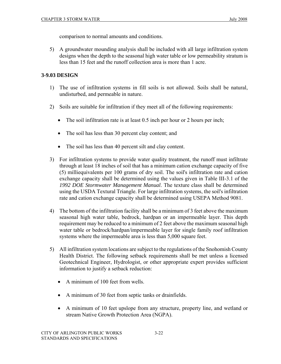comparison to normal amounts and conditions.

5) A groundwater mounding analysis shall be included with all large infiltration system designs when the depth to the seasonal high water table or low permeability stratum is less than 15 feet and the runoff collection area is more than 1 acre.

# **3-9.03 DESIGN**

- 1) The use of infiltration systems in fill soils is not allowed. Soils shall be natural, undisturbed, and permeable in nature.
- 2) Soils are suitable for infiltration if they meet all of the following requirements:
	- The soil infiltration rate is at least 0.5 inch per hour or 2 hours per inch;
	- The soil has less than 30 percent clay content; and
	- The soil has less than 40 percent silt and clay content.
- 3) For infiltration systems to provide water quality treatment, the runoff must infiltrate through at least 18 inches of soil that has a minimum cation exchange capacity of five (5) milliequivalents per 100 grams of dry soil. The soil's infiltration rate and cation exchange capacity shall be determined using the values given in Table III-3.1 of the *1992 DOE Stormwater Management Manual*. The texture class shall be determined using the USDA Textural Triangle. For large infiltration systems, the soil's infiltration rate and cation exchange capacity shall be determined using USEPA Method 9081.
- 4) The bottom of the infiltration facility shall be a minimum of 3 feet above the maximum seasonal high water table, bedrock, hardpan or an impermeable layer. This depth requirement may be reduced to a minimum of 2 feet above the maximum seasonal high water table or bedrock/hardpan/impermeable layer for single family roof infiltration systems where the impermeable area is less than 5,000 square feet.
- 5) All infiltration system locations are subject to the regulations of the Snohomish County Health District. The following setback requirements shall be met unless a licensed Geotechnical Engineer, Hydrologist, or other appropriate expert provides sufficient information to justify a setback reduction:
	- A minimum of 100 feet from wells.
	- A minimum of 30 feet from septic tanks or drainfields.
	- A minimum of 10 feet upslope from any structure, property line, and wetland or stream Native Growth Protection Area (NGPA).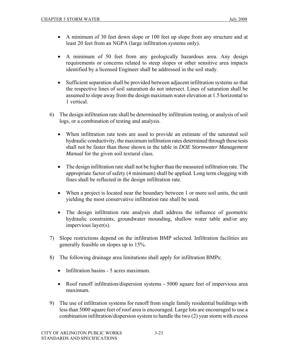- A minimum of 30 feet down slope or 100 feet up slope from any structure and at least 20 feet from an NGPA (large infiltration systems only).
- A minimum of 50 feet from any geologically hazardous area. Any design requirements or concerns related to steep slopes or other sensitive area impacts identified by a licensed Engineer shall be addressed in the soil study.
- Sufficient separation shall be provided between adjacent infiltration systems so that the respective lines of soil saturation do not intersect. Lines of saturation shall be assumed to slope away from the design maximum water elevation at 1.5 horizontal to 1 vertical.
- 6) The design infiltration rate shall be determined by infiltration testing, or analysis of soil logs, or a combination of testing and analysis.
	- When infiltration rate tests are used to provide an estimate of the saturated soil hydraulic conductivity, the maximum infiltration rates determined through these tests shall not be faster than those shown in the table in *DOE Stormwater Management Manual* for the given soil textural class.
	- The design infiltration rate shall not be higher than the measured infiltration rate. The appropriate factor of safety (4 minimum) shall be applied. Long term clogging with fines shall be reflected in the design infiltration rate.
	- When a project is located near the boundary between 1 or more soil units, the unit yielding the most conservative infiltration rate shall be used.
	- The design infiltration rate analysis shall address the influence of geometric hydraulic constraints, groundwater mounding, shallow water table and/or any impervious layer(s).
- 7) Slope restrictions depend on the infiltration BMP selected. Infiltration facilities are generally feasible on slopes up to 15%.
- 8) The following drainage area limitations shall apply for infiltration BMPs:
	- Infiltration basins 5 acres maximum.
	- Roof runoff infiltration/dispersion systems 5000 square feet of impervious area maximum.
- 9) The use of infiltration systems for runoff from single family residential buildings with less than 5000 square feet of roof area is encouraged. Large lots are encouraged to use a combination infiltration/dispersion system to handle the two (2) year storm with excess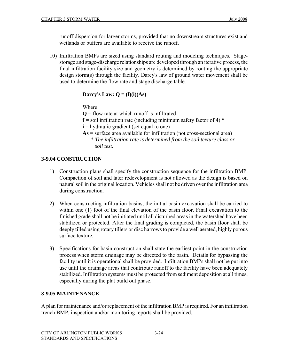runoff dispersion for larger storms, provided that no downstream structures exist and wetlands or buffers are available to receive the runoff.

10) Infiltration BMPs are sized using standard routing and modeling techniques. Stagestorage and stage-discharge relationships are developed through an iterative process, the final infiltration facility size and geometry is determined by routing the appropriate design storm(s) through the facility. Darcy's law of ground water movement shall be used to determine the flow rate and stage discharge table.

# **Darcy's Law:**  $Q = (f)(i)(As)$

Where:

- **Q** = flow rate at which runoff is infiltrated
- $f =$  soil infiltration rate (including minimum safety factor of 4)  $*$
- **i** = hydraulic gradient (set equal to one)
- **As** = surface area available for infiltration (not cross-sectional area)
	- \* *The infiltration rate is determined from the soil texture class or soil test.*

# **3-9.04 CONSTRUCTION**

- 1) Construction plans shall specify the construction sequence for the infiltration BMP. Compaction of soil and later redevelopment is not allowed as the design is based on natural soil in the original location. Vehicles shall not be driven over the infiltration area during construction.
- 2) When constructing infiltration basins, the initial basin excavation shall be carried to within one (1) foot of the final elevation of the basin floor. Final excavation to the finished grade shall not be initiated until all disturbed areas in the watershed have been stabilized or protected. After the final grading is completed, the basin floor shall be deeply tilled using rotary tillers or disc harrows to provide a well aerated, highly porous surface texture.
- 3) Specifications for basin construction shall state the earliest point in the construction process when storm drainage may be directed to the basin. Details for bypassing the facility until it is operational shall be provided. Infiltration BMPs shall not be put into use until the drainage areas that contribute runoff to the facility have been adequately stabilized. Infiltration systems must be protected from sediment deposition at all times, especially during the plat build out phase.

# **3-9.05 MAINTENANCE**

A plan for maintenance and/or replacement of the infiltration BMP is required. For an infiltration trench BMP, inspection and/or monitoring reports shall be provided.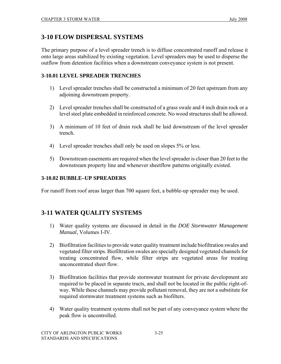# **3-10 FLOW DISPERSAL SYSTEMS**

The primary purpose of a level spreader trench is to diffuse concentrated runoff and release it onto large areas stabilized by existing vegetation. Level spreaders may be used to disperse the outflow from detention facilities when a downstream conveyance system is not present.

## **3-10.01 LEVEL SPREADER TRENCHES**

- 1) Level spreader trenches shall be constructed a minimum of 20 feet upstream from any adjoining downstream property.
- 2) Level spreader trenches shall be constructed of a grass swale and 4 inch drain rock or a level steel plate embedded in reinforced concrete. No wood structures shall be allowed.
- 3) A minimum of 10 feet of drain rock shall be laid downstream of the level spreader trench.
- 4) Level spreader trenches shall only be used on slopes 5% or less.
- 5) Downstream easements are required when the level spreader is closer than 20 feet to the downstream property line and whenever sheetflow patterns originally existed.

#### **3-10.02 BUBBLE–UP SPREADERS**

For runoff from roof areas larger than 700 square feet, a bubble-up spreader may be used.

# **3-11 WATER QUALITY SYSTEMS**

- 1) Water quality systems are discussed in detail in the *DOE Stormwater Management Manual*, Volumes I-IV.
- 2) Biofiltration facilities to provide water quality treatment include biofiltration swales and vegetated filter strips. Biofiltration swales are specially designed vegetated channels for treating concentrated flow, while filter strips are vegetated areas for treating unconcentrated sheet flow.
- 3) Biofiltration facilities that provide stormwater treatment for private development are required to be placed in separate tracts, and shall not be located in the public right-ofway. While these channels may provide pollutant removal, they are not a substitute for required stormwater treatment systems such as biofilters.
- 4) Water quality treatment systems shall not be part of any conveyance system where the peak flow is uncontrolled.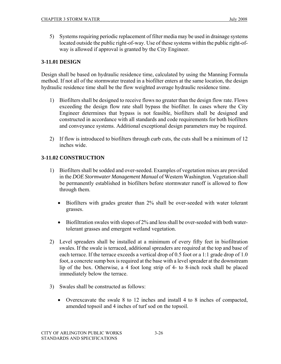5) Systems requiring periodic replacement of filter media may be used in drainage systems located outside the public right-of-way. Use of these systems within the public right-ofway is allowed if approval is granted by the City Engineer.

# **3-11.01 DESIGN**

Design shall be based on hydraulic residence time, calculated by using the Manning Formula method. If not all of the stormwater treated in a biofilter enters at the same location, the design hydraulic residence time shall be the flow weighted average hydraulic residence time.

- 1) Biofilters shall be designed to receive flows no greater than the design flow rate. Flows exceeding the design flow rate shall bypass the biofilter. In cases where the City Engineer determines that bypass is not feasible, biofilters shall be designed and constructed in accordance with all standards and code requirements for both biofilters and conveyance systems. Additional exceptional design parameters may be required.
- 2) If flow is introduced to biofilters through curb cuts, the cuts shall be a minimum of 12 inches wide.

# **3-11.02 CONSTRUCTION**

- 1) Biofilters shall be sodded and over-seeded. Examples of vegetation mixes are provided in the *DOE Stormwater Management Manual* of Western Washington. Vegetation shall be permanently established in biofilters before stormwater runoff is allowed to flow through them.
	- Biofilters with grades greater than 2% shall be over-seeded with water tolerant grasses.
	- Biofiltration swales with slopes of 2% and less shall be over-seeded with both watertolerant grasses and emergent wetland vegetation.
- 2) Level spreaders shall be installed at a minimum of every fifty feet in biofiltration swales. If the swale is terraced, additional spreaders are required at the top and base of each terrace. If the terrace exceeds a vertical drop of 0.5 foot or a 1:1 grade drop of 1.0 foot, a concrete sump box is required at the base with a level spreader at the downstream lip of the box. Otherwise, a 4 foot long strip of 4- to 8-inch rock shall be placed immediately below the terrace.
- 3) Swales shall be constructed as follows:
	- Overexcavate the swale 8 to 12 inches and install 4 to 8 inches of compacted, amended topsoil and 4 inches of turf sod on the topsoil.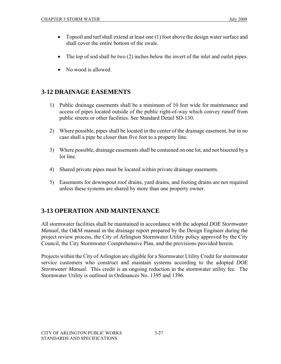- Topsoil and turf shall extend at least one (1) foot above the design water surface and shall cover the entire bottom of the swale.
- The top of sod shall be two (2) inches below the invert of the inlet and outlet pipes.
- No wood is allowed.

# **3-12 DRAINAGE EASEMENTS**

- 1) Public drainage easements shall be a minimum of 10 feet wide for maintenance and access of pipes located outside of the public right-of-way which convey runoff from public streets or other facilities. See Standard Detail SD-130.
- 2) Where possible, pipes shall be located in the center of the drainage easement, but in no case shall a pipe be closer than five feet to a property line.
- 3) Where possible, drainage easements shall be contained on one lot, and not bisected by a lot line.
- 4) Shared private pipes must be located within private drainage easements.
- 5) Easements for downspout roof drains, yard drains, and footing drains are not required unless these systems are shared by more than one property owner.

# **3-13 OPERATION AND MAINTENANCE**

All stormwater facilities shall be maintained in accordance with the adopted *DOE Stormwater Manual*, the O&M manual in the drainage report prepared by the Design Engineer during the project review process, the City of Arlington Stormwater Utility policy approved by the City Council, the City Stormwater Comprehensive Plan, and the provisions provided herein.

Projects within the City of Arlington are eligible for a Stormwater Utility Credit for stormwater service customers who construct and maintain systems according to the adopted *DOE Stormwater Manual*. This credit is an ongoing reduction in the stormwater utility fee. The Stormwater Utility is outlined in Ordinances No. 1395 and 1396.